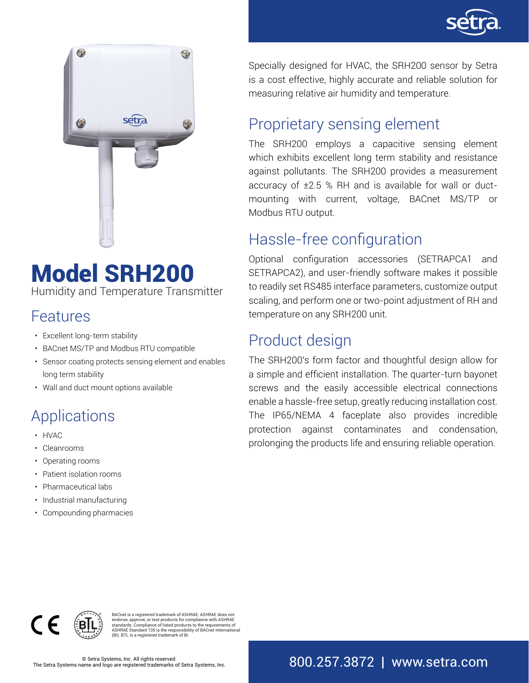



# Model SRH200

Humidity and Temperature Transmitter

### Features

- Excellent long-term stability
- BACnet MS/TP and Modbus RTU compatible
- Sensor coating protects sensing element and enables long term stability
- Wall and duct mount options available

# Applications

- HVAC
- Cleanrooms
- Operating rooms
- Patient isolation rooms
- Pharmaceutical labs
- Industrial manufacturing
- Compounding pharmacies

Specially designed for HVAC, the SRH200 sensor by Setra is a cost effective, highly accurate and reliable solution for measuring relative air humidity and temperature.

### Proprietary sensing element

The SRH200 employs a capacitive sensing element which exhibits excellent long term stability and resistance against pollutants. The SRH200 provides a measurement accuracy of ±2.5 % RH and is available for wall or ductmounting with current, voltage, BACnet MS/TP or Modbus RTU output.

### Hassle-free configuration

Optional configuration accessories (SETRAPCA1 and SETRAPCA2), and user-friendly software makes it possible to readily set RS485 interface parameters, customize output scaling, and perform one or two-point adjustment of RH and temperature on any SRH200 unit.

### Product design

The SRH200's form factor and thoughtful design allow for a simple and efficient installation. The quarter-turn bayonet screws and the easily accessible electrical connections enable a hassle-free setup, greatly reducing installation cost. The IP65/NEMA 4 faceplate also provides incredible protection against contaminates and condensation, prolonging the products life and ensuring reliable operation.



BACnet is a registered trademark of ASHRAE. ASHRAE does not endorse, approve, or test products for compliance with ASHRAE standards. Compliance of listed products to the requirements of ASHRAE Standard 135 is the responsibility of BACnet International (BI). BTL is a registered trademark of BI.

© Setra Systems, Inc. All rights reserved.<br>ame and logo are registered trademarks of Setra Systems, Inc.  $800.257.3872 \, \parallel \, \text{WWW.} \, \text{setra.} \, \text{COM}$